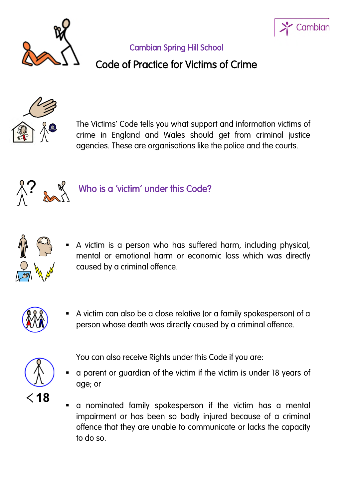



### Cambian Spring Hill School

## Code of Practice for Victims of Crime



The Victims' Code tells you what support and information victims of crime in England and Wales should get from criminal justice agencies. These are organisations like the police and the courts.



# Who is a 'victim' under this Code?



 A victim is a person who has suffered harm, including physical, mental or emotional harm or economic loss which was directly caused by a criminal offence.



 A victim can also be a close relative (or a family spokesperson) of a person whose death was directly caused by a criminal offence.



You can also receive Rights under this Code if you are:

- a parent or guardian of the victim if the victim is under 18 years of age; or
- a nominated family spokesperson if the victim has a mental impairment or has been so badly injured because of a criminal offence that they are unable to communicate or lacks the capacity to do so.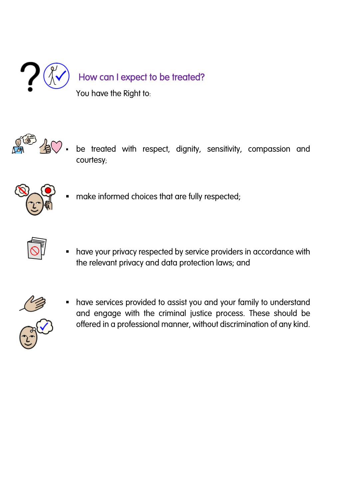

## How can I expect to be treated?

You have the Right to:



 be treated with respect, dignity, sensitivity, compassion and courtesy;



make informed choices that are fully respected;



 have your privacy respected by service providers in accordance with the relevant privacy and data protection laws; and



 have services provided to assist you and your family to understand and engage with the criminal justice process. These should be offered in a professional manner, without discrimination of any kind.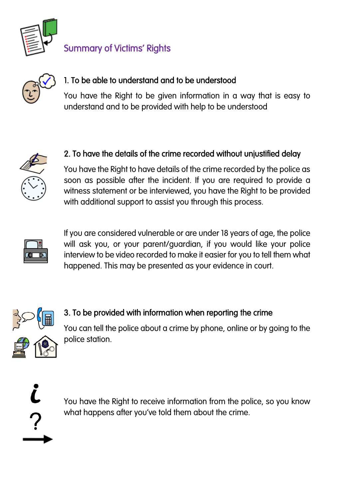

## Summary of Victims' Rights



### 1. To be able to understand and to be understood

You have the Right to be given information in a way that is easy to understand and to be provided with help to be understood



#### 2. To have the details of the crime recorded without unjustified delay

You have the Right to have details of the crime recorded by the police as soon as possible after the incident. If you are required to provide a witness statement or be interviewed, you have the Right to be provided with additional support to assist you through this process.



If you are considered vulnerable or are under 18 years of age, the police will ask you, or your parent/guardian, if you would like your police interview to be video recorded to make it easier for you to tell them what happened. This may be presented as your evidence in court.



#### 3. To be provided with information when reporting the crime

You can tell the police about a crime by phone, online or by going to the police station.

You have the Right to receive information from the police, so you know what happens after you've told them about the crime.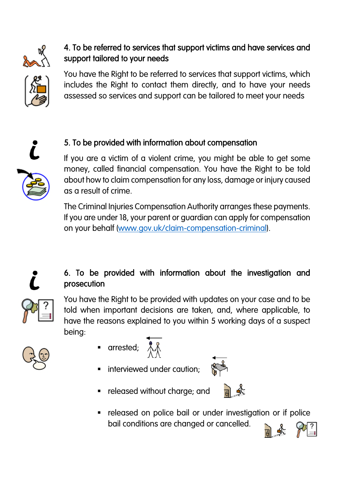

#### 4. To be referred to services that support victims and have services and support tailored to your needs

You have the Right to be referred to services that support victims, which includes the Right to contact them directly, and to have your needs assessed so services and support can be tailored to meet your needs



### 5. To be provided with information about compensation

If you are a victim of a violent crime, you might be able to get some money, called financial compensation. You have the Right to be told about how to claim compensation for any loss, damage or injury caused as a result of crime.

The Criminal Injuries Compensation Authority arranges these payments. If you are under 18, your parent or guardian can apply for compensation on your behalf ([www.gov.uk/claim-compensation-criminal\)](http://www.gov.uk/claim-compensation-criminal).



### 6. To be provided with information about the investigation and prosecution

You have the Right to be provided with updates on your case and to be told when important decisions are taken, and, where applicable, to have the reasons explained to you within 5 working days of a suspect being:



- **a** arrested;  $\lambda$
- interviewed under caution;



**•** released without charge; and



 released on police bail or under investigation or if police bail conditions are changed or cancelled.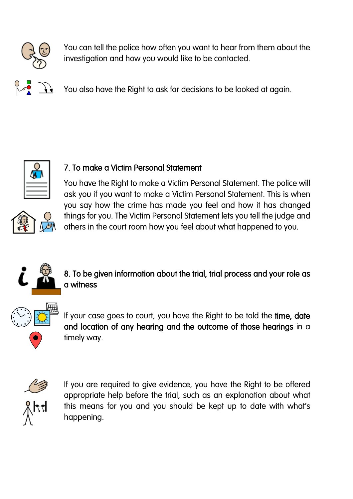

You can tell the police how often you want to hear from them about the investigation and how you would like to be contacted.

You also have the Right to ask for decisions to be looked at again.





### 7. To make a Victim Personal Statement

You have the Right to make a Victim Personal Statement. The police will ask you if you want to make a Victim Personal Statement. This is when you say how the crime has made you feel and how it has changed things for you. The Victim Personal Statement lets you tell the judge and others in the court room how you feel about what happened to you.



#### 8. To be given information about the trial, trial process and your role as a witness



If your case goes to court, you have the Right to be told the time, date and location of any hearing and the outcome of those hearings in a timely way.



If you are required to give evidence, you have the Right to be offered appropriate help before the trial, such as an explanation about what this means for you and you should be kept up to date with what's happening.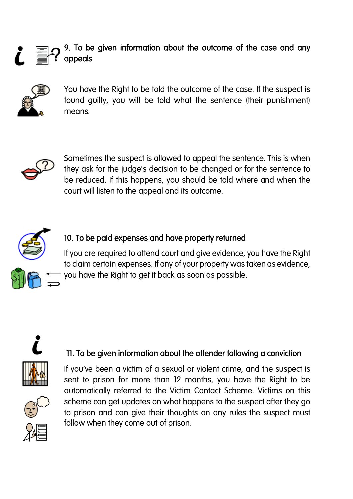



You have the Right to be told the outcome of the case. If the suspect is found guilty, you will be told what the sentence (their punishment) means.



Sometimes the suspect is allowed to appeal the sentence. This is when they ask for the judge's decision to be changed or for the sentence to be reduced. If this happens, you should be told where and when the court will listen to the appeal and its outcome.



#### 10. To be paid expenses and have property returned

If you are required to attend court and give evidence, you have the Right to claim certain expenses. If any of your property was taken as evidence, you have the Right to get it back as soon as possible.



#### 11. To be given information about the offender following a conviction

If you've been a victim of a sexual or violent crime, and the suspect is sent to prison for more than 12 months, you have the Right to be automatically referred to the Victim Contact Scheme. Victims on this scheme can get updates on what happens to the suspect after they go to prison and can give their thoughts on any rules the suspect must follow when they come out of prison.